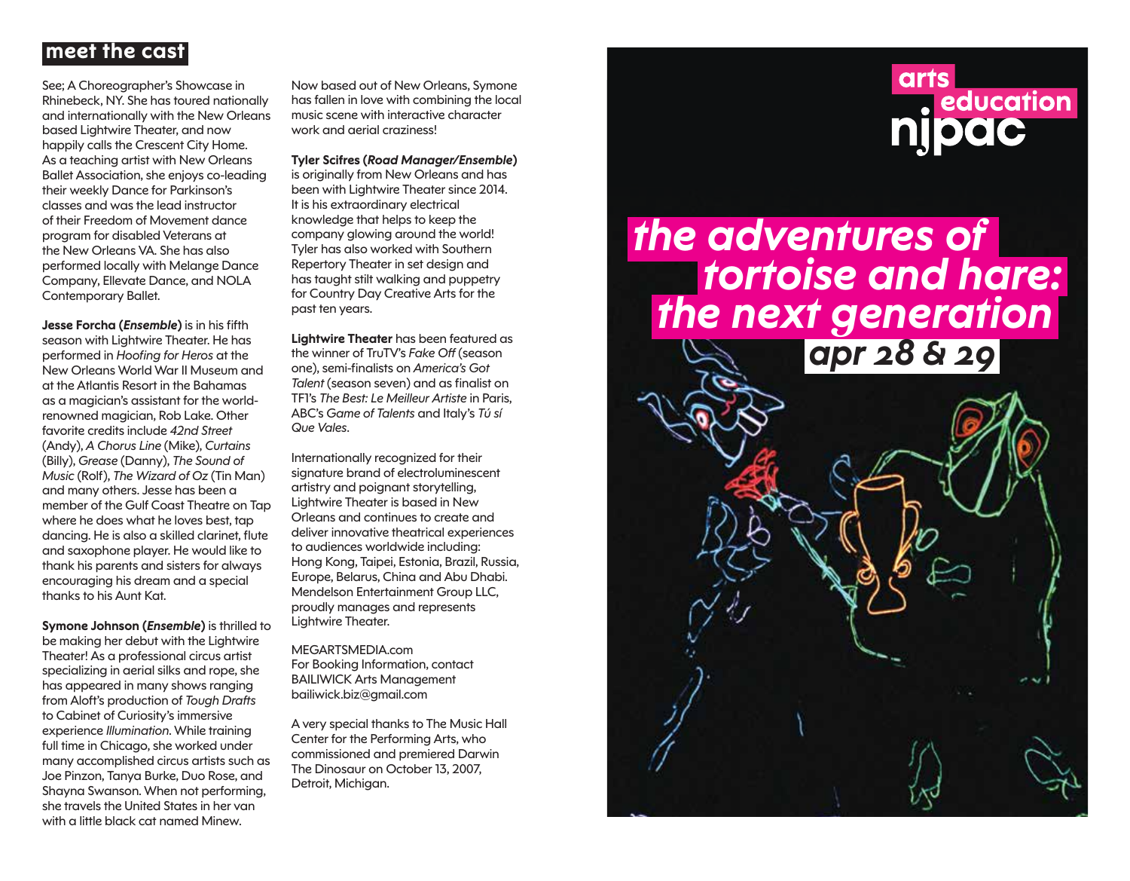## **meet the cast**

See; A Choreographer's Showcase in Rhinebeck, NY. She has toured nationally and internationally with the New Orleans based Lightwire Theater, and now happily calls the Crescent City Home. As a teaching artist with New Orleans Ballet Association, she enjoys co-leading their weekly Dance for Parkinson's classes and was the lead instructor of their Freedom of Movement dance program for disabled Veterans at the New Orleans VA. She has also performed locally with Melange Dance Company, Ellevate Dance, and NOLA Contemporary Ballet.

**Jesse Forcha (***Ensemble***)** is in his fifth season with Lightwire Theater. He has performed in *Hoofing for Heros* at the New Orleans World War II Museum and at the Atlantis Resort in the Bahamas as a magician's assistant for the worldrenowned magician, Rob Lake. Other favorite credits include *42nd Street* (Andy), *A Chorus Line* (Mike), *Curtains* (Billy), *Grease* (Danny), *The Sound of Music* (Rolf), *The Wizard of Oz* (Tin Man) and many others. Jesse has been a member of the Gulf Coast Theatre on Tap where he does what he loves best, tap dancing. He is also a skilled clarinet, flute and saxophone player. He would like to thank his parents and sisters for always encouraging his dream and a special thanks to his Aunt Kat.

**Symone Johnson (***Ensemble***)** is thrilled to be making her debut with the Lightwire Theater! As a professional circus artist specializing in aerial silks and rope, she has appeared in many shows ranging from Aloft's production of *Tough Drafts* to Cabinet of Curiosity's immersive experience *Illumination*. While training full time in Chicago, she worked under many accomplished circus artists such as Joe Pinzon, Tanya Burke, Duo Rose, and Shayna Swanson. When not performing, she travels the United States in her van with a little black cat named Minew.

Now based out of New Orleans, Symone has fallen in love with combining the local music scene with interactive character work and aerial craziness!

**Tyler Scifres (***Road Manager/Ensemble***)** is originally from New Orleans and has been with Lightwire Theater since 2014. It is his extraordinary electrical knowledge that helps to keep the company glowing around the world! Tyler has also worked with Southern Repertory Theater in set design and has taught stilt walking and puppetry for Country Day Creative Arts for the past ten years.

**Lightwire Theater** has been featured as the winner of TruTV's *Fake Off* (season one), semi-finalists on *America's Got Talent* (season seven) and as finalist on TF1's *The Best: Le Meilleur Artiste* in Paris, ABC's *Game of Talents* and Italy's *Tú sí Que Vales*.

Internationally recognized for their signature brand of electroluminescent artistry and poignant storytelling, Lightwire Theater is based in New Orleans and continues to create and deliver innovative theatrical experiences to audiences worldwide including: Hong Kong, Taipei, Estonia, Brazil, Russia, Europe, Belarus, China and Abu Dhabi. Mendelson Entertainment Group LLC, proudly manages and represents Lightwire Theater.

MEGARTSMEDIA.com For Booking Information, contact BAILIWICK Arts Management bailiwick.biz@gmail.com

A very special thanks to The Music Hall Center for the Performing Arts, who commissioned and premiered Darwin The Dinosaur on October 13, 2007, Detroit, Michigan.